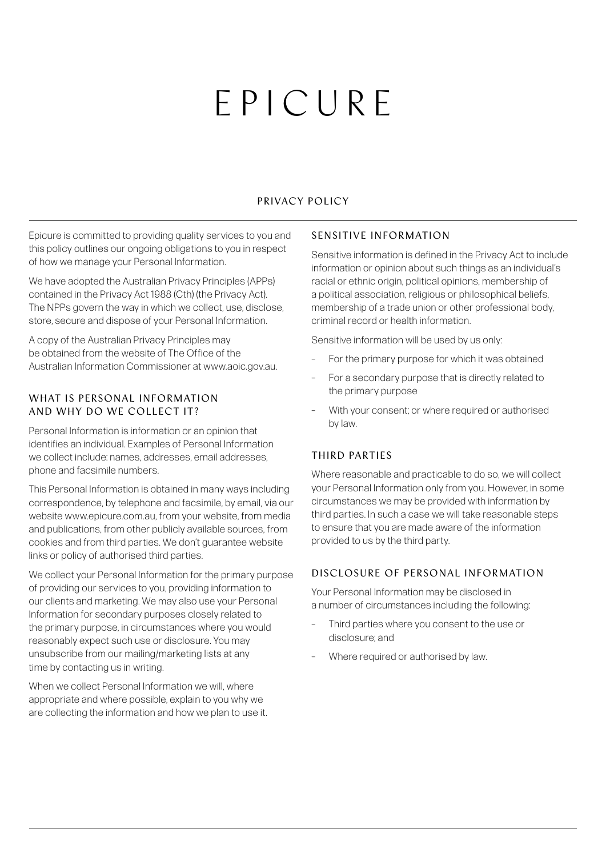# EPICURE

## PRIVACY POLICY

Epicure is committed to providing quality services to you and this policy outlines our ongoing obligations to you in respect of how we manage your Personal Information.

We have adopted the Australian Privacy Principles (APPs) contained in the Privacy Act 1988 (Cth) (the Privacy Act). The NPPs govern the way in which we collect, use, disclose, store, secure and dispose of your Personal Information.

A copy of the Australian Privacy Principles may be obtained from the website of The Office of the Australian Information Commissioner at www.aoic.gov.au.

## WHAT IS PERSONAL INFORMATION AND WHY DO WE COLLECT IT?

Personal Information is information or an opinion that identifies an individual. Examples of Personal Information we collect include: names, addresses, email addresses, phone and facsimile numbers.

This Personal Information is obtained in many ways including correspondence, by telephone and facsimile, by email, via our website www.epicure.com.au, from your website, from media and publications, from other publicly available sources, from cookies and from third parties. We don't guarantee website links or policy of authorised third parties.

We collect your Personal Information for the primary purpose of providing our services to you, providing information to our clients and marketing. We may also use your Personal Information for secondary purposes closely related to the primary purpose, in circumstances where you would reasonably expect such use or disclosure. You may unsubscribe from our mailing/marketing lists at any time by contacting us in writing.

When we collect Personal Information we will, where appropriate and where possible, explain to you why we are collecting the information and how we plan to use it.

### SENSITIVE INFORMATION

Sensitive information is defined in the Privacy Act to include information or opinion about such things as an individual's racial or ethnic origin, political opinions, membership of a political association, religious or philosophical beliefs, membership of a trade union or other professional body, criminal record or health information.

Sensitive information will be used by us only:

- For the primary purpose for which it was obtained
- For a secondary purpose that is directly related to the primary purpose
- With your consent; or where required or authorised by law.

### THIRD PARTIES

Where reasonable and practicable to do so, we will collect your Personal Information only from you. However, in some circumstances we may be provided with information by third parties. In such a case we will take reasonable steps to ensure that you are made aware of the information provided to us by the third party.

## DISCLOSURE OF PERSONAL INFORMATION

Your Personal Information may be disclosed in a number of circumstances including the following:

- Third parties where you consent to the use or disclosure; and
- Where required or authorised by law.